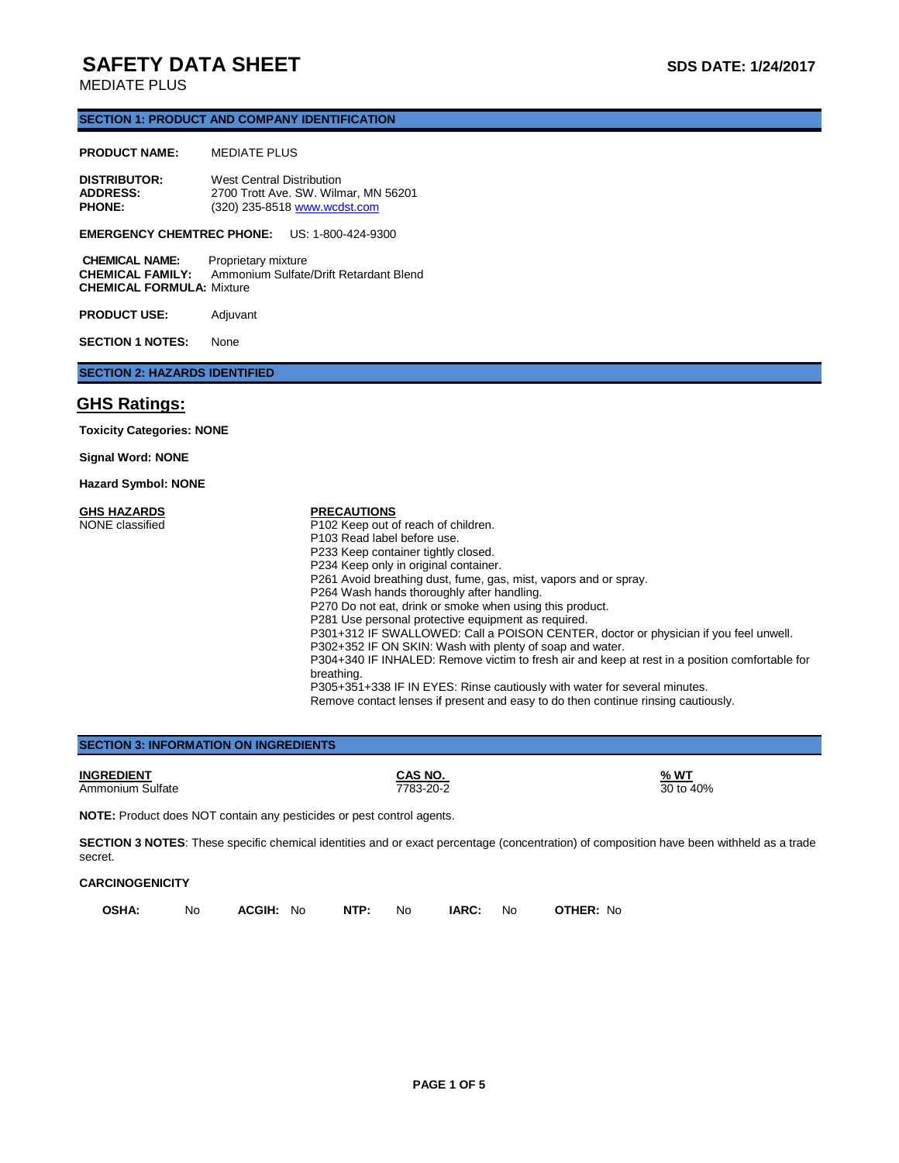# **SAFETY DATA SHEET** SAFETY **SUBSETY** DATA SHEET

### **SECTION 1: PRODUCT AND COMPANY IDENTIFICATION**

#### **PRODUCT NAME:** MEDIATE PLUS

| <b>DISTRIBUTOR:</b> | West Central Distribution            |  |
|---------------------|--------------------------------------|--|
| <b>ADDRESS:</b>     | 2700 Trott Ave. SW. Wilmar. MN 56201 |  |
| <b>PHONE:</b>       | (320) 235-8518 www.wcdst.com         |  |

### **EMERGENCY CHEMTREC PHONE:** US: 1-800-424-9300

**CHEMICAL NAME:** Proprietary mixture<br>**CHEMICAL FAMILY:** Ammonium Sulfate Ammonium Sulfate/Drift Retardant Blend **CHEMICAL FORMULA:** Mixture

**PRODUCT USE:** Adjuvant

**SECTION 1 NOTES:** None

## **SECTION 2: HAZARDS IDENTIFIED**

## **GHS Ratings:**

**Toxicity Categories: NONE**

**Signal Word: NONE**

**Hazard Symbol: NONE**

**GHS HAZARDS** NONE classified

#### **PRECAUTIONS**

P102 Keep out of reach of children. P103 Read label before use. P233 Keep container tightly closed. P234 Keep only in original container. P261 Avoid breathing dust, fume, gas, mist, vapors and or spray. P264 Wash hands thoroughly after handling. P270 Do not eat, drink or smoke when using this product. P281 Use personal protective equipment as required. P301+312 IF SWALLOWED: Call a POISON CENTER, doctor or physician if you feel unwell. P302+352 IF ON SKIN: Wash with plenty of soap and water. P304+340 IF INHALED: Remove victim to fresh air and keep at rest in a position comfortable for breathing. P305+351+338 IF IN EYES: Rinse cautiously with water for several minutes. Remove contact lenses if present and easy to do then continue rinsing cautiously.

| <b>BECTION 3. INFORMATION ON INGREDIENTS</b>                        |                      |                          |  |
|---------------------------------------------------------------------|----------------------|--------------------------|--|
| <b>INGREDIENT</b><br>Ammonium Sulfate                               | CAS NO.<br>7783-20-2 | <u>% WT</u><br>30 to 40% |  |
| NOTE: Product doos NOT contain any posicides or post control agents |                      |                          |  |

**NOTE:** Product does NOT contain any pesticides or pest control agents.

**SECTION 3: INFORMATION ON INGREDIENTS**

SECTION 3 NOTES: These specific chemical identities and or exact percentage (concentration) of composition have been withheld as a trade secret.

### **CARCINOGENICITY**

| OSHA: | No l | <b>ACGIH:</b> No. <b>NTP:</b> No. <b>IARC:</b> No. |  |  | <b>OTHER: No</b> |
|-------|------|----------------------------------------------------|--|--|------------------|
|       |      |                                                    |  |  |                  |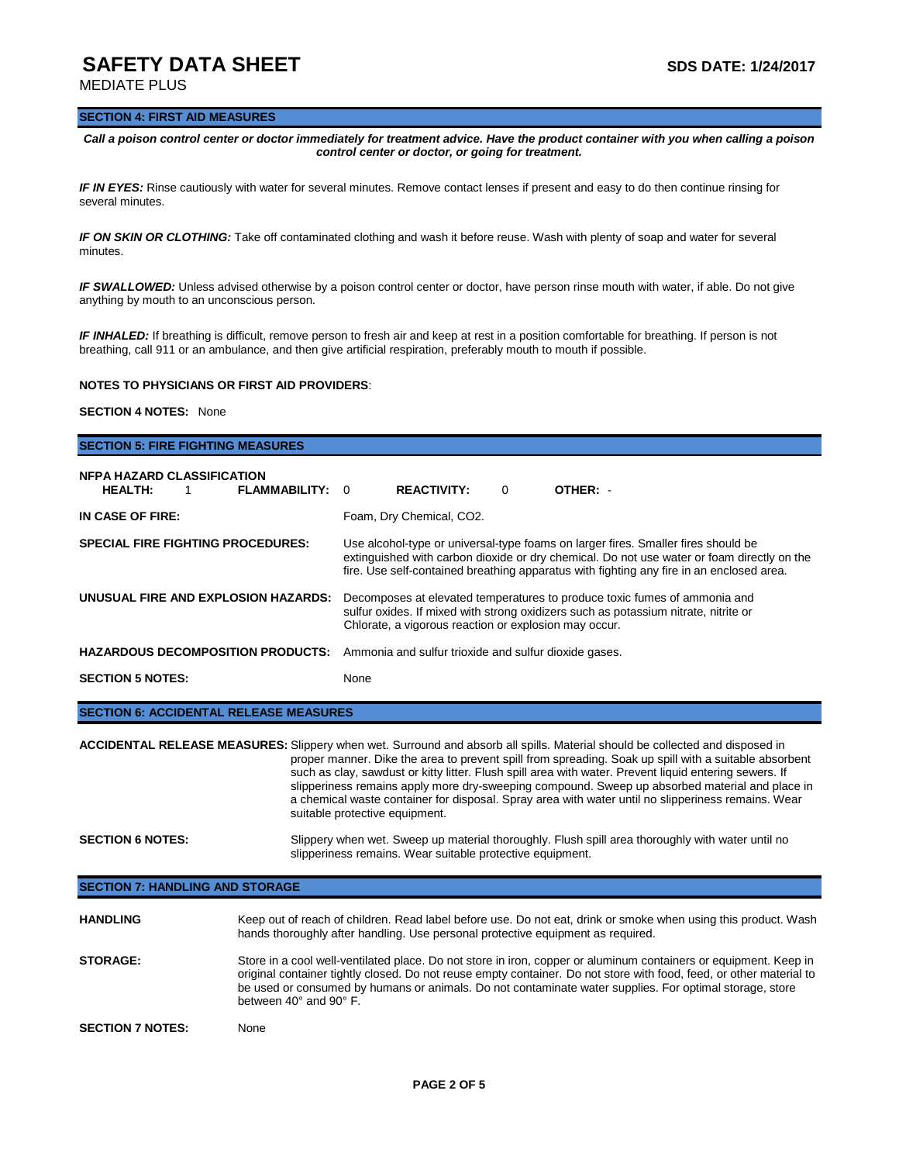# **SAFETY DATA SHEET SAFETY DATA SHEET**

MEDIATE PLUS

#### **SECTION 4: FIRST AID MEASURES**

*Call a poison control center or doctor immediately for treatment advice. Have the product container with you when calling a poison control center or doctor, or going for treatment.*

*IF IN EYES:* Rinse cautiously with water for several minutes. Remove contact lenses if present and easy to do then continue rinsing for several minutes.

*IF ON SKIN OR CLOTHING:* Take off contaminated clothing and wash it before reuse. Wash with plenty of soap and water for several minutes.

*IF SWALLOWED:* Unless advised otherwise by a poison control center or doctor, have person rinse mouth with water, if able. Do not give anything by mouth to an unconscious person.

*IF INHALED:* If breathing is difficult, remove person to fresh air and keep at rest in a position comfortable for breathing. If person is not breathing, call 911 or an ambulance, and then give artificial respiration, preferably mouth to mouth if possible.

#### **NOTES TO PHYSICIANS OR FIRST AID PROVIDERS**:

### **SECTION 4 NOTES:** None

# **SECTION 5: FIRE FIGHTING MEASURES NFPA HAZARD CLASSIFICATION HEALTH:** 1 **FLAMMABILITY:** 0 **REACTIVITY:** 0 **OTHER:** - **IN CASE OF FIRE:** Foam, Dry Chemical, CO2. **SPECIAL FIRE FIGHTING PROCEDURES:** Use alcohol-type or universal-type foams on larger fires. Smaller fires should be extinguished with carbon dioxide or dry chemical. Do not use water or foam directly on the fire. Use self-contained breathing apparatus with fighting any fire in an enclosed area. **UNUSUAL FIRE AND EXPLOSION HAZARDS:** Decomposes at elevated temperatures to produce toxic fumes of ammonia and sulfur oxides. If mixed with strong oxidizers such as potassium nitrate, nitrite or Chlorate, a vigorous reaction or explosion may occur. **HAZARDOUS DECOMPOSITION PRODUCTS:** Ammonia and sulfur trioxide and sulfur dioxide gases. **SECTION 5 NOTES:** None **SECTION 6: ACCIDENTAL RELEASE MEASURES**

**ACCIDENTAL RELEASE MEASURES:** Slippery when wet. Surround and absorb all spills. Material should be collected and disposed in proper manner. Dike the area to prevent spill from spreading. Soak up spill with a suitable absorbent such as clay, sawdust or kitty litter. Flush spill area with water. Prevent liquid entering sewers. If slipperiness remains apply more dry-sweeping compound. Sweep up absorbed material and place in a chemical waste container for disposal. Spray area with water until no slipperiness remains. Wear suitable protective equipment. **SECTION 6 NOTES:** Slippery when wet. Sweep up material thoroughly. Flush spill area thoroughly with water until no

slipperiness remains. Wear suitable protective equipment.

### **SECTION 7: HANDLING AND STORAGE**

| <b>HANDLING</b>         | Keep out of reach of children. Read label before use. Do not eat, drink or smoke when using this product. Wash<br>hands thoroughly after handling. Use personal protective equipment as required.                                                                                                                                                                                              |
|-------------------------|------------------------------------------------------------------------------------------------------------------------------------------------------------------------------------------------------------------------------------------------------------------------------------------------------------------------------------------------------------------------------------------------|
| <b>STORAGE:</b>         | Store in a cool well-ventilated place. Do not store in iron, copper or aluminum containers or equipment. Keep in<br>original container tightly closed. Do not reuse empty container. Do not store with food, feed, or other material to<br>be used or consumed by humans or animals. Do not contaminate water supplies. For optimal storage, store<br>between $40^{\circ}$ and $90^{\circ}$ F. |
| <b>SECTION 7 NOTES:</b> | None                                                                                                                                                                                                                                                                                                                                                                                           |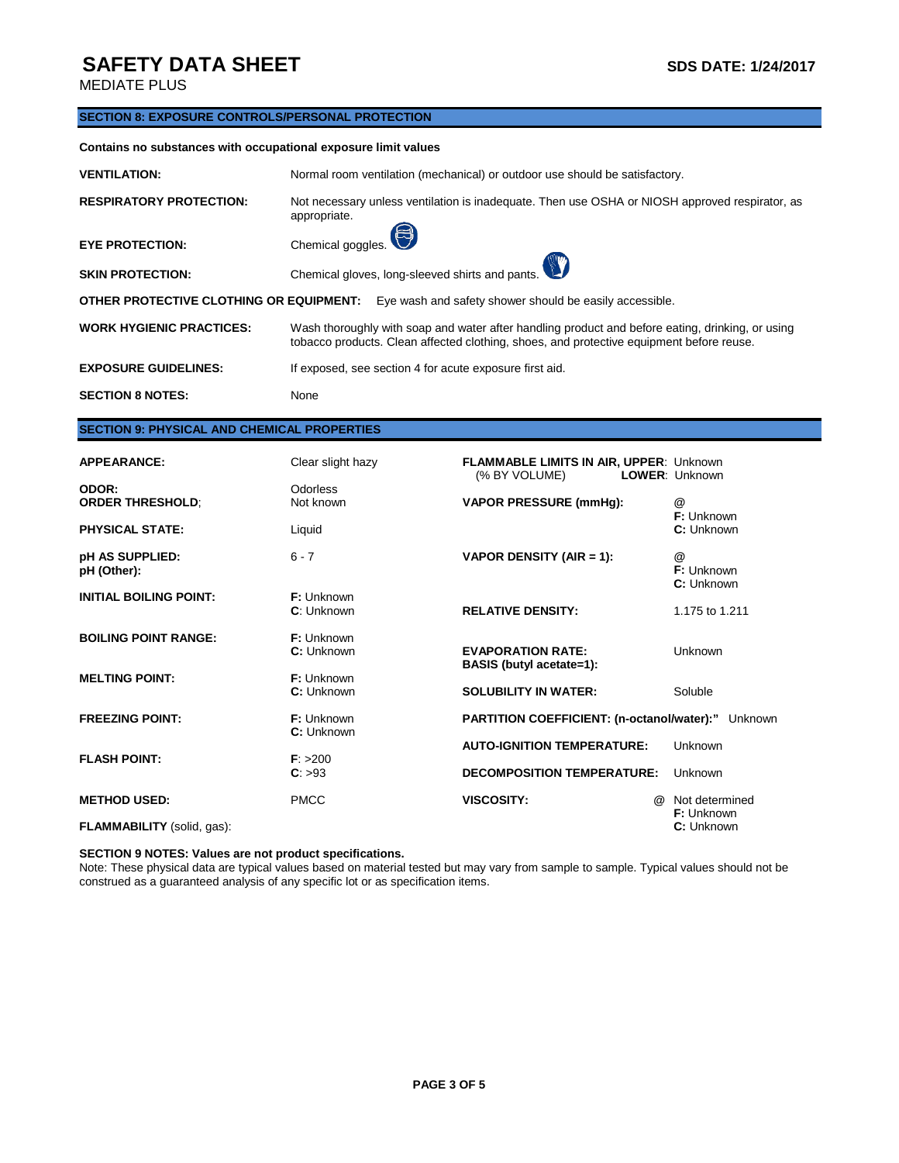# **SAFETY DATA SHEET** SAFETY **SUBSETY SDS DATE:** 1/24/2017

MEDIATE PLUS

### **SECTION 8: EXPOSURE CONTROLS/PERSONAL PROTECTION**

#### **Contains no substances with occupational exposure limit values**

| <b>VENTILATION:</b>                                                                                | Normal room ventilation (mechanical) or outdoor use should be satisfactory.                                                                                                                  |  |  |
|----------------------------------------------------------------------------------------------------|----------------------------------------------------------------------------------------------------------------------------------------------------------------------------------------------|--|--|
| <b>RESPIRATORY PROTECTION:</b>                                                                     | Not necessary unless ventilation is inadequate. Then use OSHA or NIOSH approved respirator, as<br>appropriate.                                                                               |  |  |
| <b>EYE PROTECTION:</b>                                                                             | Chemical goggles.                                                                                                                                                                            |  |  |
| <b>SKIN PROTECTION:</b>                                                                            | Chemical gloves, long-sleeved shirts and pants.                                                                                                                                              |  |  |
| OTHER PROTECTIVE CLOTHING OR EQUIPMENT:<br>Eye wash and safety shower should be easily accessible. |                                                                                                                                                                                              |  |  |
| <b>WORK HYGIENIC PRACTICES:</b>                                                                    | Wash thoroughly with soap and water after handling product and before eating, drinking, or using<br>tobacco products. Clean affected clothing, shoes, and protective equipment before reuse. |  |  |
| <b>EXPOSURE GUIDELINES:</b>                                                                        | If exposed, see section 4 for acute exposure first aid.                                                                                                                                      |  |  |
| <b>SECTION 8 NOTES:</b>                                                                            | None                                                                                                                                                                                         |  |  |

## **SECTION 9: PHYSICAL AND CHEMICAL PROPERTIES**

| <b>APPEARANCE:</b>               | Clear slight hazy               | <b>FLAMMABLE LIMITS IN AIR, UPPER: Unknown</b><br>(% BY VOLUME) | LOWER: Unknown                      |
|----------------------------------|---------------------------------|-----------------------------------------------------------------|-------------------------------------|
| ODOR:<br><b>ORDER THRESHOLD;</b> | Odorless<br>Not known           | <b>VAPOR PRESSURE (mmHg):</b>                                   | @<br>F: Unknown                     |
| <b>PHYSICAL STATE:</b>           | Liquid                          |                                                                 | C: Unknown                          |
| pH AS SUPPLIED:<br>pH (Other):   | $6 - 7$                         | VAPOR DENSITY (AIR = 1):                                        | @<br>F: Unknown<br>C: Unknown       |
| <b>INITIAL BOILING POINT:</b>    | F: Unknown<br>C: Unknown        | <b>RELATIVE DENSITY:</b>                                        | 1.175 to 1.211                      |
| <b>BOILING POINT RANGE:</b>      | $F:$ Unknown<br>C: Unknown      | <b>EVAPORATION RATE:</b><br><b>BASIS</b> (butyl acetate=1):     | <b>Unknown</b>                      |
| <b>MELTING POINT:</b>            | <b>F:</b> Unknown<br>C: Unknown | <b>SOLUBILITY IN WATER:</b>                                     | Soluble                             |
| <b>FREEZING POINT:</b>           | <b>F:</b> Unknown<br>C: Unknown | <b>PARTITION COEFFICIENT: (n-octanol/water):"</b>               | Unknown                             |
| <b>FLASH POINT:</b>              | F: > 200                        | <b>AUTO-IGNITION TEMPERATURE:</b>                               | Unknown                             |
|                                  | C: >93                          | <b>DECOMPOSITION TEMPERATURE:</b>                               | Unknown                             |
| <b>METHOD USED:</b>              | <b>PMCC</b>                     | <b>VISCOSITY:</b><br>$\omega$                                   | Not determined<br><b>F:</b> Unknown |
| FLAMMABILITY (solid, gas):       |                                 |                                                                 | C: Unknown                          |

#### **SECTION 9 NOTES: Values are not product specifications.**

Note: These physical data are typical values based on material tested but may vary from sample to sample. Typical values should not be construed as a guaranteed analysis of any specific lot or as specification items.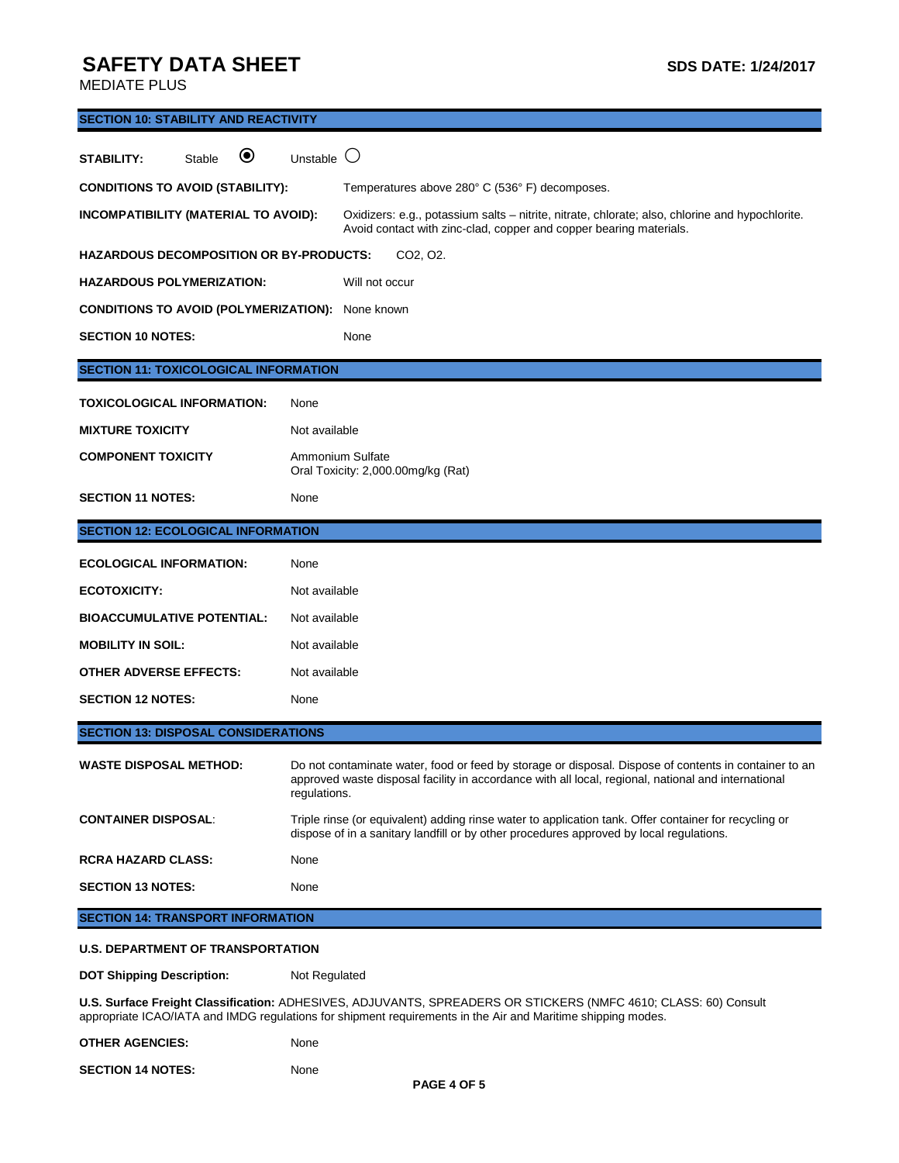# **SAFETY DATA SHEET** SAFETY **SUBSETY SDS DATE: 1/24/2017**

SECTION 14 NOTES: None

MEDIATE PLUS

| <b>SECTION 10: STABILITY AND REACTIVITY</b>                                                                                                                                                                                     |                                                                                                                                                                                                                              |  |  |
|---------------------------------------------------------------------------------------------------------------------------------------------------------------------------------------------------------------------------------|------------------------------------------------------------------------------------------------------------------------------------------------------------------------------------------------------------------------------|--|--|
| $\boldsymbol{\circledbullet}$<br>Stable<br>STABILITY:                                                                                                                                                                           | $\left( \right)$<br>Unstable                                                                                                                                                                                                 |  |  |
| <b>CONDITIONS TO AVOID (STABILITY):</b>                                                                                                                                                                                         | Temperatures above 280° C (536° F) decomposes.                                                                                                                                                                               |  |  |
| INCOMPATIBILITY (MATERIAL TO AVOID):                                                                                                                                                                                            | Oxidizers: e.g., potassium salts – nitrite, nitrate, chlorate; also, chlorine and hypochlorite.<br>Avoid contact with zinc-clad, copper and copper bearing materials.                                                        |  |  |
| <b>HAZARDOUS DECOMPOSITION OR BY-PRODUCTS:</b>                                                                                                                                                                                  | CO2, O2.                                                                                                                                                                                                                     |  |  |
| <b>HAZARDOUS POLYMERIZATION:</b>                                                                                                                                                                                                | Will not occur                                                                                                                                                                                                               |  |  |
| <b>CONDITIONS TO AVOID (POLYMERIZATION):</b>                                                                                                                                                                                    | None known                                                                                                                                                                                                                   |  |  |
| <b>SECTION 10 NOTES:</b>                                                                                                                                                                                                        | None                                                                                                                                                                                                                         |  |  |
| <b>SECTION 11: TOXICOLOGICAL INFORMATION</b>                                                                                                                                                                                    |                                                                                                                                                                                                                              |  |  |
| <b>TOXICOLOGICAL INFORMATION:</b>                                                                                                                                                                                               | None                                                                                                                                                                                                                         |  |  |
| <b>MIXTURE TOXICITY</b>                                                                                                                                                                                                         | Not available                                                                                                                                                                                                                |  |  |
| <b>COMPONENT TOXICITY</b>                                                                                                                                                                                                       | Ammonium Sulfate<br>Oral Toxicity: 2,000.00mg/kg (Rat)                                                                                                                                                                       |  |  |
| <b>SECTION 11 NOTES:</b>                                                                                                                                                                                                        | None                                                                                                                                                                                                                         |  |  |
| <b>SECTION 12: ECOLOGICAL INFORMATION</b>                                                                                                                                                                                       |                                                                                                                                                                                                                              |  |  |
| <b>ECOLOGICAL INFORMATION:</b>                                                                                                                                                                                                  | None                                                                                                                                                                                                                         |  |  |
| <b>ECOTOXICITY:</b>                                                                                                                                                                                                             | Not available                                                                                                                                                                                                                |  |  |
| <b>BIOACCUMULATIVE POTENTIAL:</b>                                                                                                                                                                                               | Not available                                                                                                                                                                                                                |  |  |
| <b>MOBILITY IN SOIL:</b>                                                                                                                                                                                                        | Not available                                                                                                                                                                                                                |  |  |
| OTHER ADVERSE EFFECTS:                                                                                                                                                                                                          | Not available                                                                                                                                                                                                                |  |  |
| <b>SECTION 12 NOTES:</b>                                                                                                                                                                                                        | None                                                                                                                                                                                                                         |  |  |
| <b>SECTION 13: DISPOSAL CONSIDERATIONS</b>                                                                                                                                                                                      |                                                                                                                                                                                                                              |  |  |
| <b>WASTE DISPOSAL METHOD:</b>                                                                                                                                                                                                   | Do not contaminate water, food or feed by storage or disposal. Dispose of contents in container to an<br>approved waste disposal facility in accordance with all local, regional, national and international<br>regulations. |  |  |
| <b>CONTAINER DISPOSAL:</b>                                                                                                                                                                                                      | Triple rinse (or equivalent) adding rinse water to application tank. Offer container for recycling or<br>dispose of in a sanitary landfill or by other procedures approved by local regulations.                             |  |  |
| <b>RCRA HAZARD CLASS:</b>                                                                                                                                                                                                       | None                                                                                                                                                                                                                         |  |  |
| <b>SECTION 13 NOTES:</b>                                                                                                                                                                                                        | None                                                                                                                                                                                                                         |  |  |
| <b>SECTION 14: TRANSPORT INFORMATION</b>                                                                                                                                                                                        |                                                                                                                                                                                                                              |  |  |
| <b>U.S. DEPARTMENT OF TRANSPORTATION</b>                                                                                                                                                                                        |                                                                                                                                                                                                                              |  |  |
| <b>DOT Shipping Description:</b>                                                                                                                                                                                                | Not Regulated                                                                                                                                                                                                                |  |  |
| U.S. Surface Freight Classification: ADHESIVES, ADJUVANTS, SPREADERS OR STICKERS (NMFC 4610; CLASS: 60) Consult<br>appropriate ICAO/IATA and IMDG regulations for shipment requirements in the Air and Maritime shipping modes. |                                                                                                                                                                                                                              |  |  |
| <b>OTHER AGENCIES:</b>                                                                                                                                                                                                          | None                                                                                                                                                                                                                         |  |  |

**PAGE 4 OF 5**